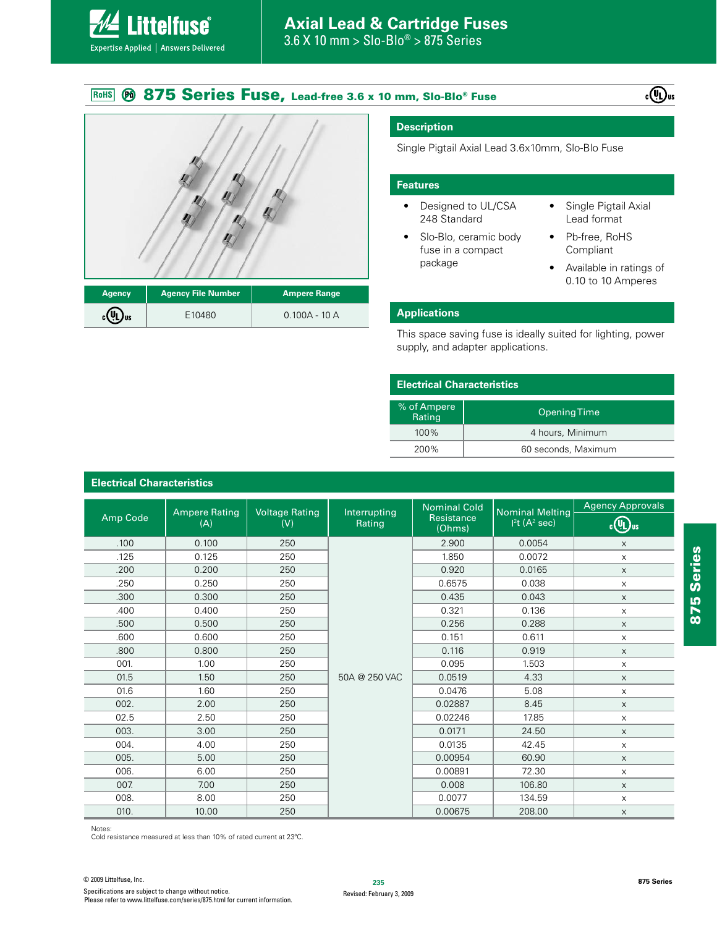#### **875 Series Fuse, Lead-free 3.6 x 10 mm, Slo-Blo® Fuse** RoHS





**ittelfuse** 

Expertise Applied | Answers Delivered

| <b>Agency</b>            | Agency File Number <sup>l</sup> | Ampere Range   |  |
|--------------------------|---------------------------------|----------------|--|
| $_{c}$ (U) <sub>us</sub> | E10480                          | $0.100A - 10A$ |  |

### **Description**

Single Pigtail Axial Lead 3.6x10mm, Slo-Blo Fuse

#### **Features**

- Designed to UL/CSA 248 Standard
- Slo-Blo, ceramic body fuse in a compact package
- Single Pigtail Axial Lead format
- Pb-free, RoHS Compliant
- Available in ratings of 0.10 to 10 Amperes

#### **Applications**

This space saving fuse is ideally suited for lighting, power supply, and adapter applications.

| <b>Electrical Characteristics</b> |                     |  |
|-----------------------------------|---------------------|--|
| % of Ampere<br>Rating             | <b>Opening Time</b> |  |
| $100\%$                           | 4 hours, Minimum    |  |
| 200%                              | 60 seconds, Maximum |  |

# **Electrical Characteristics**

|          | <b>Ampere Rating</b><br>(A) | <b>Voltage Rating</b><br>(V) | Interrupting<br>Rating | <b>Nominal Cold</b><br>Resistance<br>(Ohms) | <b>Nominal Melting</b><br>I <sup>2</sup> t (A <sup>2</sup> sec) | <b>Agency Approvals</b>   |
|----------|-----------------------------|------------------------------|------------------------|---------------------------------------------|-----------------------------------------------------------------|---------------------------|
| Amp Code |                             |                              |                        |                                             |                                                                 | <b>COURS</b>              |
| .100     | 0.100                       | 250                          |                        | 2.900                                       | 0.0054                                                          | $\times$                  |
| .125     | 0.125                       | 250                          |                        | 1.850                                       | 0.0072                                                          | $\times$                  |
| .200     | 0.200                       | 250                          |                        | 0.920                                       | 0.0165                                                          | $\times$                  |
| .250     | 0.250                       | 250                          |                        | 0.6575                                      | 0.038                                                           | $\times$                  |
| .300     | 0.300                       | 250                          |                        | 0.435                                       | 0.043                                                           | $\times$                  |
| .400     | 0.400                       | 250                          |                        | 0.321                                       | 0.136                                                           | $\times$                  |
| .500     | 0.500                       | 250                          |                        | 0.256                                       | 0.288                                                           | $\times$                  |
| .600     | 0.600                       | 250                          |                        | 0.151                                       | 0.611                                                           | X                         |
| .800     | 0.800                       | 250                          |                        | 0.116                                       | 0.919                                                           | $\times$                  |
| 001.     | 1.00                        | 250                          |                        | 0.095                                       | 1.503                                                           | $\times$                  |
| 01.5     | 1.50                        | 250                          | 50A @ 250 VAC          | 0.0519                                      | 4.33                                                            | $\times$                  |
| 01.6     | 1.60                        | 250                          |                        | 0.0476                                      | 5.08                                                            | X                         |
| 002.     | 2.00                        | 250                          |                        | 0.02887                                     | 8.45                                                            | $\times$                  |
| 02.5     | 2.50                        | 250                          |                        | 0.02246                                     | 17.85                                                           | X                         |
| 003.     | 3.00                        | 250                          |                        | 0.0171                                      | 24.50                                                           | $\times$                  |
| 004.     | 4.00                        | 250                          |                        | 0.0135                                      | 42.45                                                           | X                         |
| 005.     | 5.00                        | 250                          |                        | 0.00954                                     | 60.90                                                           | $\mathsf X$               |
| 006.     | 6.00                        | 250                          |                        | 0.00891                                     | 72.30                                                           | $\times$                  |
| 007.     | 7.00                        | 250                          |                        | 0.008                                       | 106.80                                                          | $\boldsymbol{\mathsf{X}}$ |
| 008.     | 8.00                        | 250                          |                        | 0.0077                                      | 134.59                                                          | $\boldsymbol{\mathsf{X}}$ |
| 010.     | 10.00                       | 250                          |                        | 0.00675                                     | 208.00                                                          | $\boldsymbol{\mathsf{X}}$ |

Notes:

Cold resistance measured at less than 10% of rated current at 23°C.

**875 Series**

875 Series

**875 Series**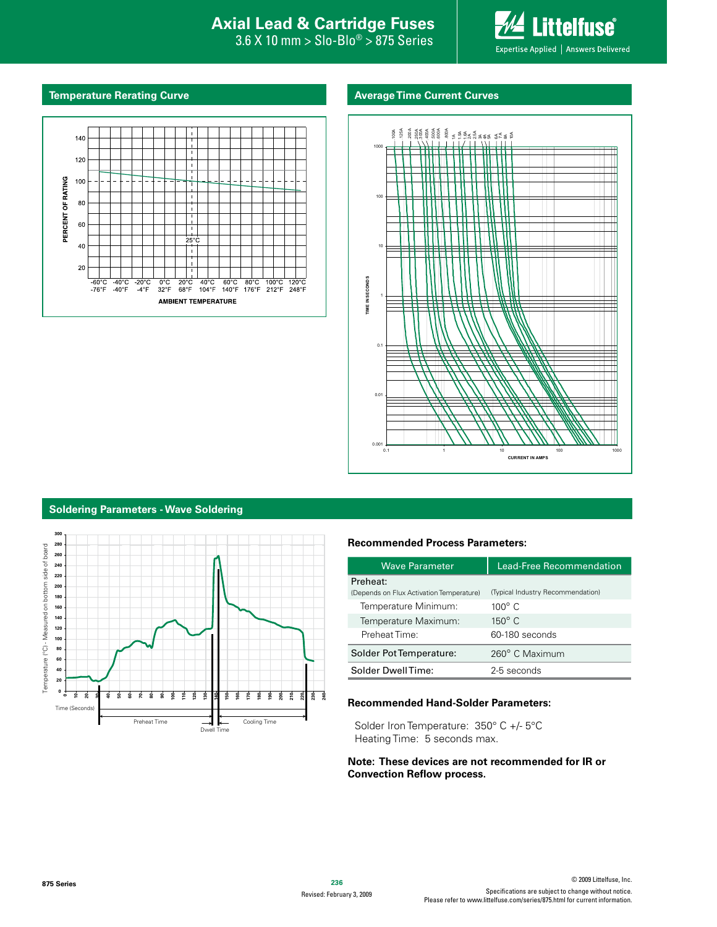#### **Interproduced Avan Exists Protection Axial Lead & Cartridge Fuses Axial Lead & Cartridge Fuses**

 $0^\circ$  > 875 Series 3.6 X 10 mm > Slo-Blo® > 875 Series

**Littelfuse**® Expertise Applied | Answers Delivered

#### **Temperature Rerating Curve Average Time Current Curves**





#### **Soldering Parameters - Wave Soldering**



#### **Recommended Process Parameters:**

| <b>Wave Parameter</b>                    | Lead-Free Recommendation          |
|------------------------------------------|-----------------------------------|
| Preheat:                                 |                                   |
| (Depends on Flux Activation Temperature) | (Typical Industry Recommendation) |
| Temperature Minimum:                     | $100^\circ$ C                     |
| Temperature Maximum:                     | $150^\circ$ C                     |
| Preheat Time:                            | 60-180 seconds                    |
| Solder Pot Temperature:                  | 260° C Maximum                    |
| Solder DwellTime:                        | 2-5 seconds                       |

#### **Recommended Hand-Solder Parameters:**

Solder Iron Temperature:  $350^{\circ}$  C +/-  $5^{\circ}$ C Heating Time: 5 seconds max.

#### **Note: These devices are not recommended for IR or Convection Reflow process.**